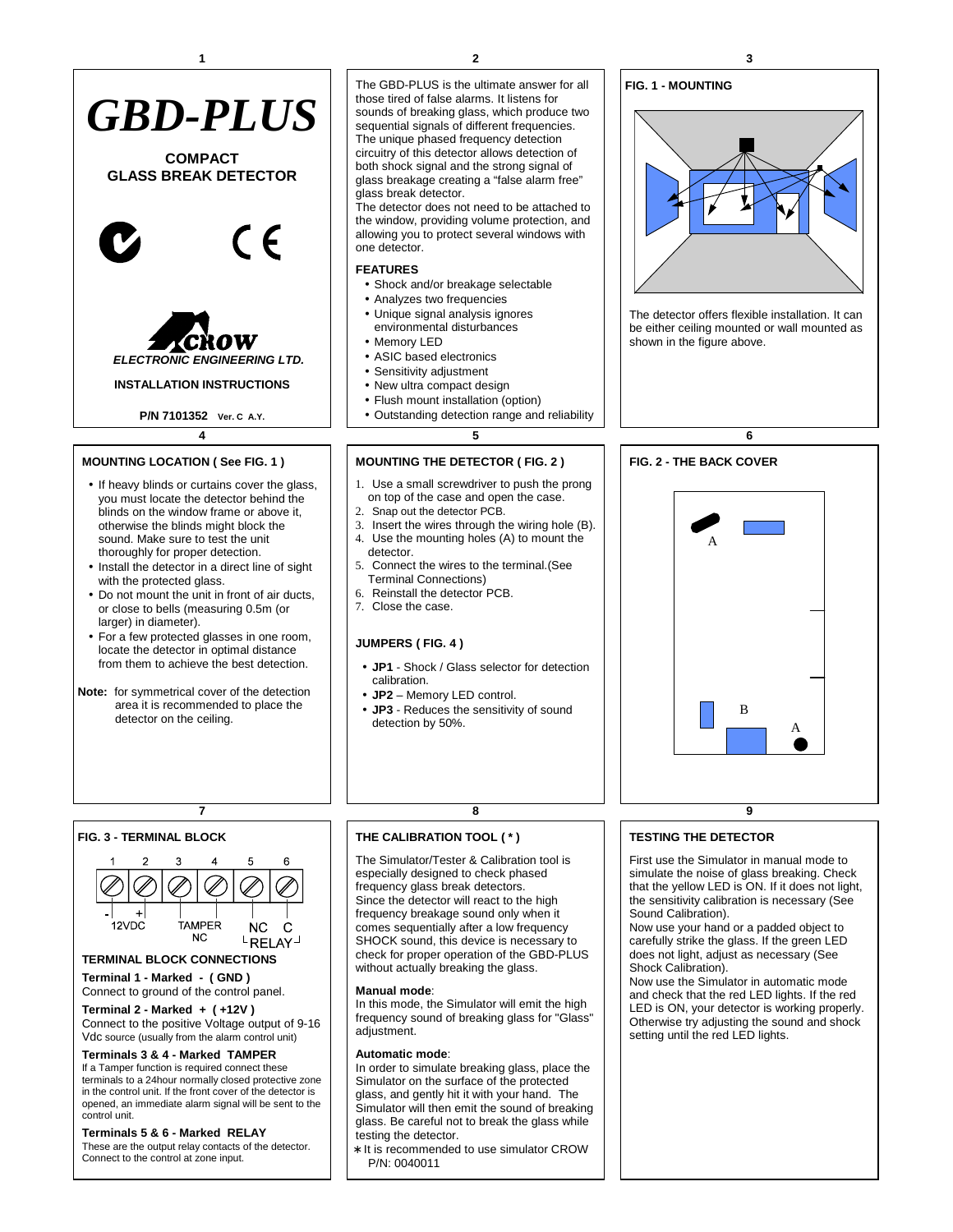

- sound. Make sure to test the unit thoroughly for proper detection.
- Install the detector in a direct line of sight with the protected glass.
- Do not mount the unit in front of air ducts, or close to bells (measuring 0.5m (or larger) in diameter).
- For a few protected glasses in one room, locate the detector in optimal distance from them to achieve the best detection.
- **Note:** for symmetrical cover of the detection area it is recommended to place the detector on the ceiling.

The GBD-PLUS is the ultimate answer for all those tired of false alarms. It listens for sounds of breaking glass, which produce two sequential signals of different frequencies. The unique phased frequency detection circuitry of this detector allows detection of both shock signal and the strong signal of glass breakage creating a "false alarm free" glass break detector.

The detector does not need to be attached to the window, providing volume protection, and allowing you to protect several windows with one detector.

## **FEATURES**

- Shock and/or breakage selectable
- Analyzes two frequencies
- Unique signal analysis ignores environmental disturbances
- Memory LED
- ASIC based electronics
- Sensitivity adjustment
- New ultra compact design
- Flush mount installation (option)
- Outstanding detection range and reliability

# **MOUNTING THE DETECTOR ( FIG. 2 )**

- 1. Use a small screwdriver to push the prong on top of the case and open the case.
- 2. Snap out the detector PCB.
- 3. Insert the wires through the wiring hole (B). 4. Use the mounting holes (A) to mount the
- detector. 5. Connect the wires to the terminal.(See Terminal Connections)
- 6. Reinstall the detector PCB.
- 7. Close the case.

## **JUMPERS ( FIG. 4 )**

- **JP1** Shock / Glass selector for detection calibration.
- **JP2** Memory LED control.
- **JP3** Reduces the sensitivity of sound detection by 50%.

# **FIG. 3 - TERMINAL BLOCK**



# **TERMINAL BLOCK CONNECTIONS**

**Terminal 1 - Marked - ( GND )**  Connect to ground of the control panel.

**Terminal 2 - Marked + ( +12V )**  Connect to the positive Voltage output of 9-16 Vdc source (usually from the alarm control unit)

#### **Terminals 3 & 4 - Marked TAMPER**

If a Tamper function is required connect these terminals to a 24hour normally closed protective zone in the control unit. If the front cover of the detector is opened, an immediate alarm signal will be sent to the control unit.

## **Terminals 5 & 6 - Marked RELAY**

These are the output relay contacts of the detector. Connect to the control at zone input.

## **THE CALIBRATION TOOL ( \* )**

The Simulator/Tester & Calibration tool is especially designed to check phased frequency glass break detectors. Since the detector will react to the high frequency breakage sound only when it comes sequentially after a low frequency SHOCK sound, this device is necessary to check for proper operation of the GBD-PLUS without actually breaking the glass.

#### **Manual mode**:

In this mode, the Simulator will emit the high frequency sound of breaking glass for "Glass" adjustment.

#### **Automatic mode**:

In order to simulate breaking glass, place the Simulator on the surface of the protected glass, and gently hit it with your hand. The Simulator will then emit the sound of breaking glass. Be careful not to break the glass while testing the detector.

∗ It is recommended to use simulator CROW P/N: 0040011

#### **FIG. 1 - MOUNTING**



The detector offers flexible installation. It can be either ceiling mounted or wall mounted as shown in the figure above.



## **TESTING THE DETECTOR**

First use the Simulator in manual mode to simulate the noise of glass breaking. Check that the yellow LED is ON. If it does not light, the sensitivity calibration is necessary (See Sound Calibration).

Now use your hand or a padded object to carefully strike the glass. If the green LED does not light, adjust as necessary (See Shock Calibration).

Now use the Simulator in automatic mode and check that the red LED lights. If the red LED is ON, your detector is working properly. Otherwise try adjusting the sound and shock setting until the red LED lights.